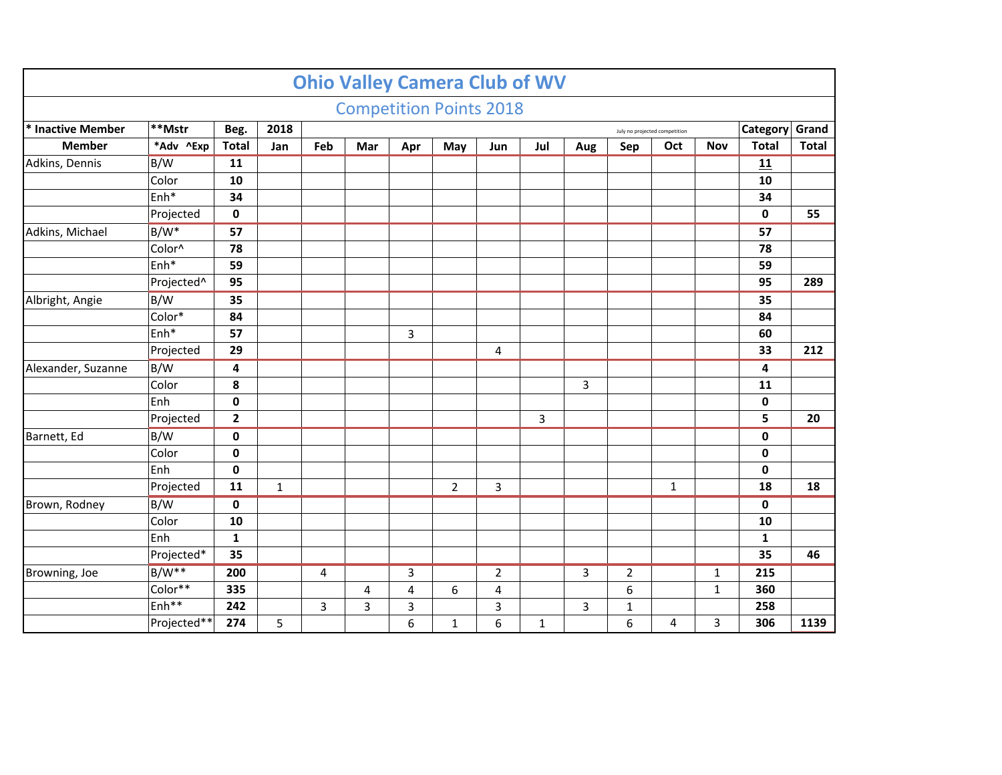|                    |                        |                |                                       |     | <b>Ohio Valley Camera Club of WV</b> |                |                |                |              |     |                |              |              |              |              |
|--------------------|------------------------|----------------|---------------------------------------|-----|--------------------------------------|----------------|----------------|----------------|--------------|-----|----------------|--------------|--------------|--------------|--------------|
|                    |                        |                |                                       |     | <b>Competition Points 2018</b>       |                |                |                |              |     |                |              |              |              |              |
| * Inactive Member  | **Mstr                 | Beg.           | 2018<br>July no projected competition |     |                                      |                |                |                |              |     |                |              |              | Category     | Grand        |
| <b>Member</b>      | *Adv ^Exp              | <b>Total</b>   | Jan                                   | Feb | Mar                                  | Apr            | May            | Jun            | Jul          | Aug | Sep            | Oct          | <b>Nov</b>   | <b>Total</b> | <b>Total</b> |
| Adkins, Dennis     | B/W                    | 11             |                                       |     |                                      |                |                |                |              |     |                |              |              | 11           |              |
|                    | Color                  | 10             |                                       |     |                                      |                |                |                |              |     |                |              |              | 10           |              |
|                    | Enh*                   | 34             |                                       |     |                                      |                |                |                |              |     |                |              |              | 34           |              |
|                    | Projected              | $\mathbf 0$    |                                       |     |                                      |                |                |                |              |     |                |              |              | 0            | 55           |
| Adkins, Michael    | $B/W^*$                | 57             |                                       |     |                                      |                |                |                |              |     |                |              |              | 57           |              |
|                    | Color^                 | 78             |                                       |     |                                      |                |                |                |              |     |                |              |              | 78           |              |
|                    | Enh*                   | 59             |                                       |     |                                      |                |                |                |              |     |                |              |              | 59           |              |
|                    | Projected <sup>^</sup> | 95             |                                       |     |                                      |                |                |                |              |     |                |              |              | 95           | 289          |
| Albright, Angie    | B/W                    | 35             |                                       |     |                                      |                |                |                |              |     |                |              |              | 35           |              |
|                    | Color*                 | 84             |                                       |     |                                      |                |                |                |              |     |                |              |              | 84           |              |
|                    | Enh <sup>*</sup>       | 57             |                                       |     |                                      | 3              |                |                |              |     |                |              |              | 60           |              |
|                    | Projected              | 29             |                                       |     |                                      |                |                | 4              |              |     |                |              |              | 33           | 212          |
| Alexander, Suzanne | B/W                    | $\overline{4}$ |                                       |     |                                      |                |                |                |              |     |                |              |              | 4            |              |
|                    | Color                  | 8              |                                       |     |                                      |                |                |                |              | 3   |                |              |              | 11           |              |
|                    | Enh                    | $\mathbf 0$    |                                       |     |                                      |                |                |                |              |     |                |              |              | 0            |              |
|                    | Projected              | $\overline{2}$ |                                       |     |                                      |                |                |                | 3            |     |                |              |              | 5            | 20           |
| Barnett, Ed        | B/W                    | $\mathbf 0$    |                                       |     |                                      |                |                |                |              |     |                |              |              | $\pmb{0}$    |              |
|                    | Color                  | $\mathbf 0$    |                                       |     |                                      |                |                |                |              |     |                |              |              | $\mathbf 0$  |              |
|                    | Enh                    | $\mathbf 0$    |                                       |     |                                      |                |                |                |              |     |                |              |              | $\mathbf 0$  |              |
|                    | Projected              | 11             | $\mathbf{1}$                          |     |                                      |                | $\overline{2}$ | 3              |              |     |                | $\mathbf{1}$ |              | 18           | 18           |
| Brown, Rodney      | B/W                    | $\mathbf 0$    |                                       |     |                                      |                |                |                |              |     |                |              |              | $\mathbf 0$  |              |
|                    | Color                  | 10             |                                       |     |                                      |                |                |                |              |     |                |              |              | 10           |              |
|                    | Enh                    | $\mathbf{1}$   |                                       |     |                                      |                |                |                |              |     |                |              |              | $\mathbf{1}$ |              |
|                    | Projected*             | 35             |                                       |     |                                      |                |                |                |              |     |                |              |              | 35           | 46           |
| Browning, Joe      | $B/W**$                | 200            |                                       | 4   |                                      | 3              |                | $\overline{2}$ |              | 3   | $\overline{2}$ |              | $\mathbf{1}$ | 215          |              |
|                    | Color**                | 335            |                                       |     | 4                                    | $\overline{4}$ | 6              | 4              |              |     | 6              |              | $\mathbf{1}$ | 360          |              |
|                    | Enh <sup>**</sup>      | 242            |                                       | 3   | 3                                    | 3              |                | 3              |              | 3   | $\mathbf{1}$   |              |              | 258          |              |
|                    | Projected**            | 274            | 5                                     |     |                                      | 6              | 1              | 6              | $\mathbf{1}$ |     | 6              | 4            | 3            | 306          | 1139         |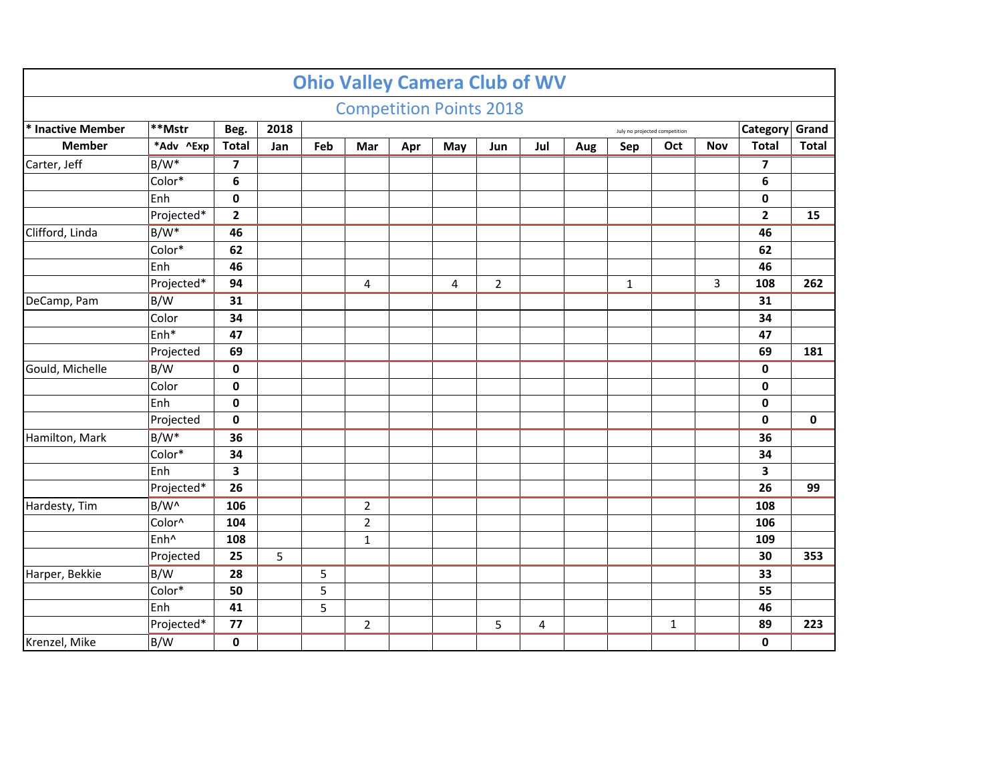|                                                                              |                  |                         |     |     |                |     | <b>Ohio Valley Camera Club of WV</b> |                |     |     |              |     |            |                         |              |
|------------------------------------------------------------------------------|------------------|-------------------------|-----|-----|----------------|-----|--------------------------------------|----------------|-----|-----|--------------|-----|------------|-------------------------|--------------|
|                                                                              |                  |                         |     |     |                |     | <b>Competition Points 2018</b>       |                |     |     |              |     |            |                         |              |
| **Mstr<br>2018<br>* Inactive Member<br>Beg.<br>July no projected competition |                  |                         |     |     |                |     |                                      |                |     |     |              |     |            | Category                | Grand        |
| <b>Member</b>                                                                | *Adv ^Exp        | <b>Total</b>            | Jan | Feb | Mar            | Apr | May                                  | Jun            | Jul | Aug | Sep          | Oct | <b>Nov</b> | <b>Total</b>            | <b>Total</b> |
| Carter, Jeff                                                                 | $B/W^*$          | $\overline{\mathbf{z}}$ |     |     |                |     |                                      |                |     |     |              |     |            | $\overline{\mathbf{z}}$ |              |
|                                                                              | Color*           | $6\phantom{1}6$         |     |     |                |     |                                      |                |     |     |              |     |            | $\boldsymbol{6}$        |              |
|                                                                              | Enh              | $\mathbf 0$             |     |     |                |     |                                      |                |     |     |              |     |            | $\pmb{0}$               |              |
|                                                                              | Projected*       | $\overline{\mathbf{2}}$ |     |     |                |     |                                      |                |     |     |              |     |            | $\mathbf{2}$            | 15           |
| Clifford, Linda                                                              | $B/W^*$          | 46                      |     |     |                |     |                                      |                |     |     |              |     |            | 46                      |              |
|                                                                              | Color*           | 62                      |     |     |                |     |                                      |                |     |     |              |     |            | 62                      |              |
|                                                                              | Enh              | 46                      |     |     |                |     |                                      |                |     |     |              |     |            | 46                      |              |
|                                                                              | Projected*       | 94                      |     |     | 4              |     | 4                                    | $\overline{2}$ |     |     | $\mathbf{1}$ |     | 3          | 108                     | 262          |
| DeCamp, Pam                                                                  | B/W              | 31                      |     |     |                |     |                                      |                |     |     |              |     |            | 31                      |              |
|                                                                              | Color            | 34                      |     |     |                |     |                                      |                |     |     |              |     |            | 34                      |              |
|                                                                              | Enh*             | 47                      |     |     |                |     |                                      |                |     |     |              |     |            | 47                      |              |
|                                                                              | Projected        | 69                      |     |     |                |     |                                      |                |     |     |              |     |            | 69                      | 181          |
| Gould, Michelle                                                              | B/W              | $\bf{0}$                |     |     |                |     |                                      |                |     |     |              |     |            | $\pmb{0}$               |              |
|                                                                              | Color            | $\mathbf 0$             |     |     |                |     |                                      |                |     |     |              |     |            | $\pmb{0}$               |              |
|                                                                              | Enh              | $\mathbf 0$             |     |     |                |     |                                      |                |     |     |              |     |            | $\pmb{0}$               |              |
|                                                                              | Projected        | $\mathbf 0$             |     |     |                |     |                                      |                |     |     |              |     |            | $\mathbf 0$             | $\mathbf 0$  |
| Hamilton, Mark                                                               | $B/W^*$          | 36                      |     |     |                |     |                                      |                |     |     |              |     |            | 36                      |              |
|                                                                              | Color*           | 34                      |     |     |                |     |                                      |                |     |     |              |     |            | 34                      |              |
|                                                                              | Enh              | $\overline{\mathbf{3}}$ |     |     |                |     |                                      |                |     |     |              |     |            | 3                       |              |
|                                                                              | Projected*       | 26                      |     |     |                |     |                                      |                |     |     |              |     |            | 26                      | 99           |
| Hardesty, Tim                                                                | $B/W^{\wedge}$   | 106                     |     |     | $\mathbf 2$    |     |                                      |                |     |     |              |     |            | 108                     |              |
|                                                                              | Color^           | 104                     |     |     | $\mathbf 2$    |     |                                      |                |     |     |              |     |            | 106                     |              |
|                                                                              | Enh <sup>^</sup> | 108                     |     |     | $\mathbf{1}$   |     |                                      |                |     |     |              |     |            | 109                     |              |
|                                                                              | Projected        | 25                      | 5   |     |                |     |                                      |                |     |     |              |     |            | 30                      | 353          |
| Harper, Bekkie                                                               | B/W              | $\overline{28}$         |     | 5   |                |     |                                      |                |     |     |              |     |            | 33                      |              |
|                                                                              | Color*           | 50                      |     | 5   |                |     |                                      |                |     |     |              |     |            | 55                      |              |
|                                                                              | Enh              | 41                      |     | 5   |                |     |                                      |                |     |     |              |     |            | 46                      |              |
|                                                                              | Projected*       | 77                      |     |     | $\overline{2}$ |     |                                      | 5              | 4   |     |              | 1   |            | 89                      | 223          |
| Krenzel, Mike                                                                | B/W              | $\mathbf 0$             |     |     |                |     |                                      |                |     |     |              |     |            | $\mathbf 0$             |              |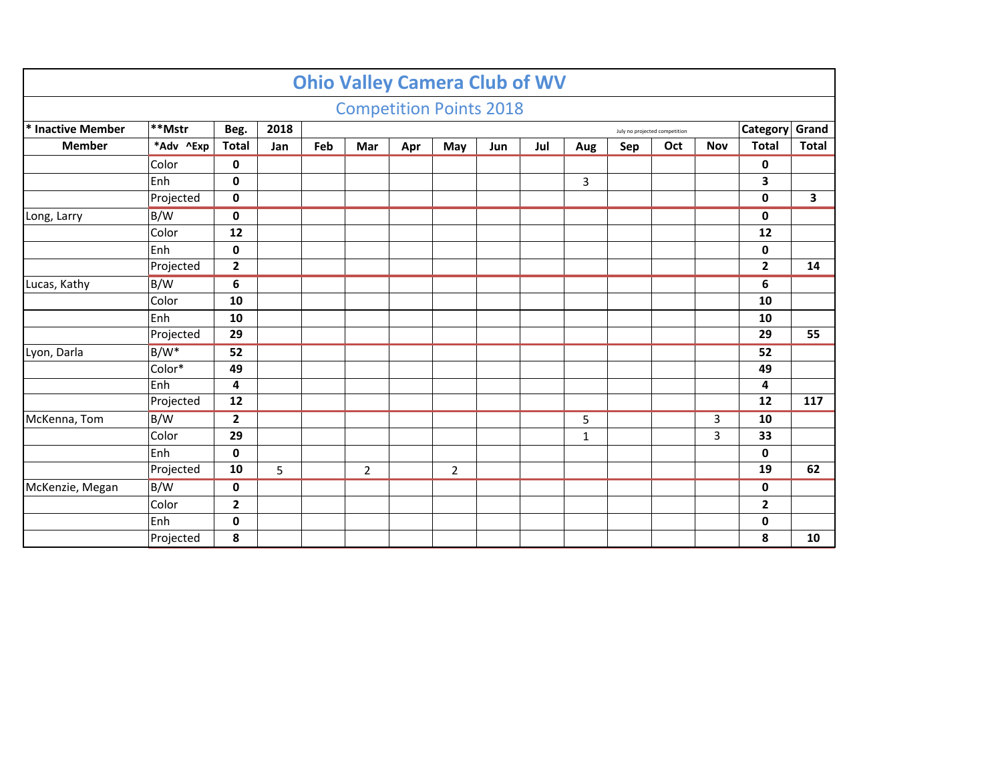|                   |                                                         |                |     |     |                |     | <b>Ohio Valley Camera Club of WV</b> |     |     |     |     |     |            |              |              |
|-------------------|---------------------------------------------------------|----------------|-----|-----|----------------|-----|--------------------------------------|-----|-----|-----|-----|-----|------------|--------------|--------------|
|                   |                                                         |                |     |     |                |     | <b>Competition Points 2018</b>       |     |     |     |     |     |            |              |              |
| * Inactive Member | **Mstr<br>2018<br>Beg.<br>July no projected competition |                |     |     |                |     |                                      |     |     |     |     |     |            | Category     | Grand        |
| <b>Member</b>     | *Adv ^Exp                                               | <b>Total</b>   | Jan | Feb | <b>Mar</b>     | Apr | May                                  | Jun | Jul | Aug | Sep | Oct | <b>Nov</b> | <b>Total</b> | <b>Total</b> |
|                   | Color                                                   | 0              |     |     |                |     |                                      |     |     |     |     |     |            | 0            |              |
|                   | Enh                                                     | $\mathbf 0$    |     |     |                |     |                                      |     |     | 3   |     |     |            | 3            |              |
|                   | Projected                                               | $\mathbf 0$    |     |     |                |     |                                      |     |     |     |     |     |            | $\mathbf 0$  | 3            |
| Long, Larry       | B/W                                                     | 0              |     |     |                |     |                                      |     |     |     |     |     |            | 0            |              |
|                   | Color                                                   | 12             |     |     |                |     |                                      |     |     |     |     |     |            | 12           |              |
|                   | Enh                                                     | $\mathbf 0$    |     |     |                |     |                                      |     |     |     |     |     |            | 0            |              |
|                   | Projected                                               | $\mathbf{2}$   |     |     |                |     |                                      |     |     |     |     |     |            | $\mathbf{2}$ | 14           |
| Lucas, Kathy      | B/W                                                     | 6              |     |     |                |     |                                      |     |     |     |     |     |            | 6            |              |
|                   | Color                                                   | 10             |     |     |                |     |                                      |     |     |     |     |     |            | 10           |              |
|                   | Enh                                                     | 10             |     |     |                |     |                                      |     |     |     |     |     |            | 10           |              |
|                   | Projected                                               | 29             |     |     |                |     |                                      |     |     |     |     |     |            | 29           | 55           |
| Lyon, Darla       | $B/W^*$                                                 | 52             |     |     |                |     |                                      |     |     |     |     |     |            | 52           |              |
|                   | Color*                                                  | 49             |     |     |                |     |                                      |     |     |     |     |     |            | 49           |              |
|                   | Enh                                                     | $\overline{4}$ |     |     |                |     |                                      |     |     |     |     |     |            | 4            |              |
|                   | Projected                                               | 12             |     |     |                |     |                                      |     |     |     |     |     |            | 12           | 117          |
| McKenna, Tom      | B/W                                                     | $\overline{2}$ |     |     |                |     |                                      |     |     | 5   |     |     | 3          | 10           |              |
|                   | Color                                                   | 29             |     |     |                |     |                                      |     |     | 1   |     |     | 3          | 33           |              |
|                   | Enh                                                     | $\mathbf 0$    |     |     |                |     |                                      |     |     |     |     |     |            | 0            |              |
|                   | Projected                                               | 10             | 5   |     | $\overline{2}$ |     | $\overline{2}$                       |     |     |     |     |     |            | 19           | 62           |
| McKenzie, Megan   | B/W                                                     | $\mathbf 0$    |     |     |                |     |                                      |     |     |     |     |     |            | 0            |              |
|                   | Color                                                   | $\mathbf{2}$   |     |     |                |     |                                      |     |     |     |     |     |            | $\mathbf{2}$ |              |
|                   | Enh                                                     | 0              |     |     |                |     |                                      |     |     |     |     |     |            | 0            |              |
|                   | Projected                                               | 8              |     |     |                |     |                                      |     |     |     |     |     |            | 8            | 10           |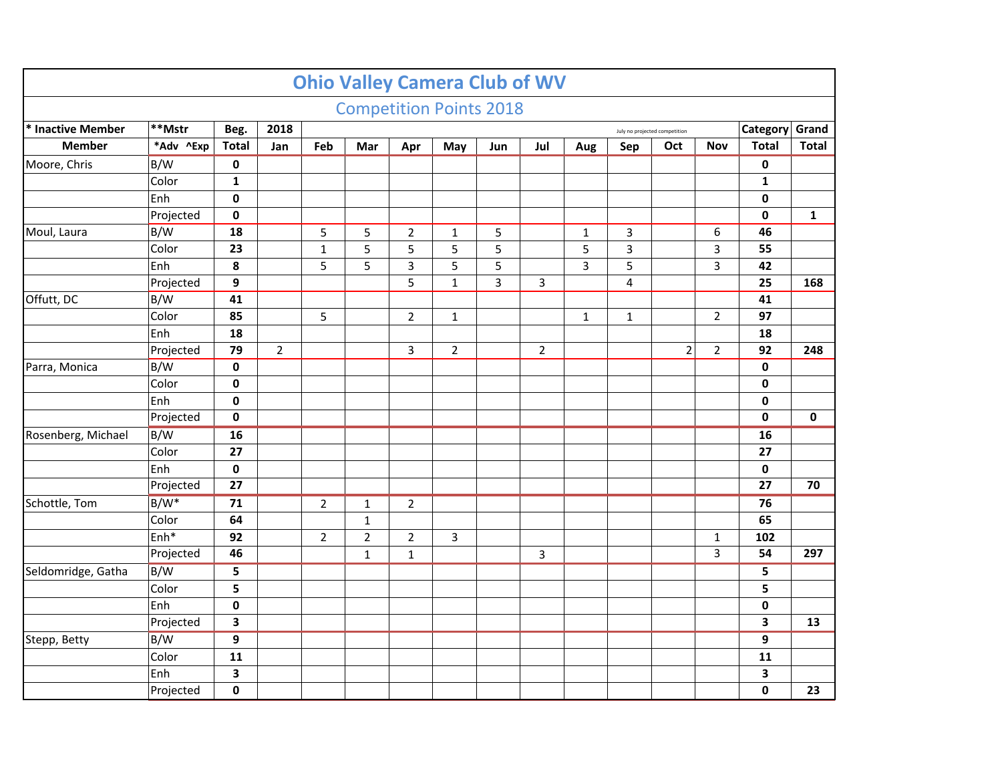|                    |                  |                  |                |                |                |                | <b>Ohio Valley Camera Club of WV</b> |     |                |              |                |                               |                |              |              |
|--------------------|------------------|------------------|----------------|----------------|----------------|----------------|--------------------------------------|-----|----------------|--------------|----------------|-------------------------------|----------------|--------------|--------------|
|                    |                  |                  |                |                |                |                | <b>Competition Points 2018</b>       |     |                |              |                |                               |                |              |              |
| * Inactive Member  | **Mstr           | Beg.             | 2018           |                |                |                |                                      |     |                |              |                | July no projected competition |                | Category     | Grand        |
| <b>Member</b>      | *Adv ^Exp        | <b>Total</b>     | Jan            | Feb            | Mar            | Apr            | May                                  | Jun | Jul            | Aug          | Sep            | Oct                           | <b>Nov</b>     | <b>Total</b> | <b>Total</b> |
| Moore, Chris       | B/W              | $\pmb{0}$        |                |                |                |                |                                      |     |                |              |                |                               |                | $\pmb{0}$    |              |
|                    | Color            | $\mathbf{1}$     |                |                |                |                |                                      |     |                |              |                |                               |                | $\mathbf{1}$ |              |
|                    | Enh              | $\mathbf 0$      |                |                |                |                |                                      |     |                |              |                |                               |                | $\pmb{0}$    |              |
|                    | Projected        | $\mathbf 0$      |                |                |                |                |                                      |     |                |              |                |                               |                | 0            | $\mathbf{1}$ |
| Moul, Laura        | B/W              | 18               |                | 5              | 5              | $\overline{2}$ | $\mathbf 1$                          | 5   |                | $\mathbf{1}$ | 3              |                               | 6              | 46           |              |
|                    | Color            | 23               |                | $\mathbf{1}$   | 5              | 5              | 5                                    | 5   |                | 5            | 3              |                               | 3              | 55           |              |
|                    | Enh              | 8                |                | 5              | 5              | 3              | 5                                    | 5   |                | 3            | 5              |                               | 3              | 42           |              |
|                    | Projected        | 9                |                |                |                | 5              | $\mathbf{1}$                         | 3   | 3              |              | $\overline{4}$ |                               |                | 25           | 168          |
| Offutt, DC         | B/W              | 41               |                |                |                |                |                                      |     |                |              |                |                               |                | 41           |              |
|                    | Color            | 85               |                | 5              |                | $\overline{2}$ | $\mathbf{1}$                         |     |                | $\mathbf{1}$ | $\mathbf{1}$   |                               | $\overline{2}$ | 97           |              |
|                    | Enh              | 18               |                |                |                |                |                                      |     |                |              |                |                               |                | 18           |              |
|                    | Projected        | 79               | $\overline{2}$ |                |                | 3              | $\overline{2}$                       |     | $\overline{2}$ |              |                | $\overline{2}$                | $\overline{2}$ | 92           | 248          |
| Parra, Monica      | B/W              | $\mathbf 0$      |                |                |                |                |                                      |     |                |              |                |                               |                | $\pmb{0}$    |              |
|                    | Color            | $\mathbf 0$      |                |                |                |                |                                      |     |                |              |                |                               |                | $\pmb{0}$    |              |
|                    | Enh              | $\mathbf 0$      |                |                |                |                |                                      |     |                |              |                |                               |                | $\pmb{0}$    |              |
|                    | Projected        | $\pmb{0}$        |                |                |                |                |                                      |     |                |              |                |                               |                | $\pmb{0}$    | $\pmb{0}$    |
| Rosenberg, Michael | B/W              | 16               |                |                |                |                |                                      |     |                |              |                |                               |                | 16           |              |
|                    | Color            | 27               |                |                |                |                |                                      |     |                |              |                |                               |                | 27           |              |
|                    | Enh              | $\pmb{0}$        |                |                |                |                |                                      |     |                |              |                |                               |                | $\pmb{0}$    |              |
|                    | Projected        | 27               |                |                |                |                |                                      |     |                |              |                |                               |                | 27           | 70           |
| Schottle, Tom      | $B/W^*$          | 71               |                | $\overline{2}$ | $\mathbf{1}$   | $\overline{2}$ |                                      |     |                |              |                |                               |                | 76           |              |
|                    | Color            | 64               |                |                | $\mathbf{1}$   |                |                                      |     |                |              |                |                               |                | 65           |              |
|                    | Enh <sup>*</sup> | 92               |                | $\overline{2}$ | $\overline{2}$ | $\overline{2}$ | 3                                    |     |                |              |                |                               | 1              | 102          |              |
|                    | Projected        | 46               |                |                | $\mathbf 1$    | $\mathbf 1$    |                                      |     | 3              |              |                |                               | $\overline{3}$ | 54           | 297          |
| Seldomridge, Gatha | B/W              | 5                |                |                |                |                |                                      |     |                |              |                |                               |                | 5            |              |
|                    | Color            | 5                |                |                |                |                |                                      |     |                |              |                |                               |                | 5            |              |
|                    | Enh              | $\mathbf 0$      |                |                |                |                |                                      |     |                |              |                |                               |                | $\pmb{0}$    |              |
|                    | Projected        | 3                |                |                |                |                |                                      |     |                |              |                |                               |                | 3            | 13           |
| Stepp, Betty       | B/W              | $\boldsymbol{9}$ |                |                |                |                |                                      |     |                |              |                |                               |                | 9            |              |
|                    | Color            | 11               |                |                |                |                |                                      |     |                |              |                |                               |                | 11           |              |
|                    | Enh              | 3                |                |                |                |                |                                      |     |                |              |                |                               |                | 3            |              |
|                    | Projected        | 0                |                |                |                |                |                                      |     |                |              |                |                               |                | $\pmb{0}$    | 23           |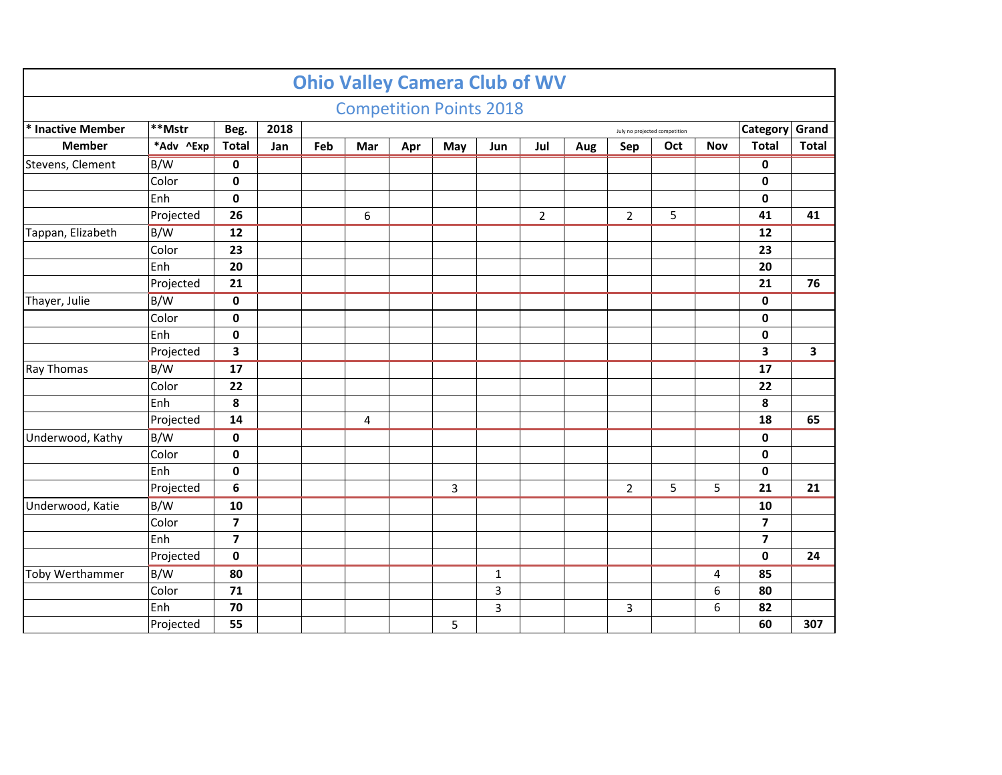|                   |           |                         |      |                                           |     |     | <b>Ohio Valley Camera Club of WV</b> |             |                |     |                |     |            |                         |                         |
|-------------------|-----------|-------------------------|------|-------------------------------------------|-----|-----|--------------------------------------|-------------|----------------|-----|----------------|-----|------------|-------------------------|-------------------------|
|                   |           |                         |      |                                           |     |     | <b>Competition Points 2018</b>       |             |                |     |                |     |            |                         |                         |
| * Inactive Member | **Mstr    | Beg.                    | 2018 | Category<br>July no projected competition |     |     |                                      |             |                |     |                |     |            |                         | Grand                   |
| <b>Member</b>     | *Adv ^Exp | <b>Total</b>            | Jan  | Feb                                       | Mar | Apr | May                                  | Jun         | Jul            | Aug | Sep            | Oct | <b>Nov</b> | <b>Total</b>            | <b>Total</b>            |
| Stevens, Clement  | B/W       | 0                       |      |                                           |     |     |                                      |             |                |     |                |     |            | 0                       |                         |
|                   | Color     | $\mathbf 0$             |      |                                           |     |     |                                      |             |                |     |                |     |            | $\mathbf 0$             |                         |
|                   | Enh       | $\mathbf 0$             |      |                                           |     |     |                                      |             |                |     |                |     |            | 0                       |                         |
|                   | Projected | 26                      |      |                                           | 6   |     |                                      |             | $\overline{2}$ |     | $\overline{2}$ | 5   |            | 41                      | 41                      |
| Tappan, Elizabeth | B/W       | 12                      |      |                                           |     |     |                                      |             |                |     |                |     |            | 12                      |                         |
|                   | Color     | 23                      |      |                                           |     |     |                                      |             |                |     |                |     |            | 23                      |                         |
|                   | Enh       | 20                      |      |                                           |     |     |                                      |             |                |     |                |     |            | 20                      |                         |
|                   | Projected | 21                      |      |                                           |     |     |                                      |             |                |     |                |     |            | 21                      | 76                      |
| Thayer, Julie     | B/W       | $\mathbf 0$             |      |                                           |     |     |                                      |             |                |     |                |     |            | $\mathbf 0$             |                         |
|                   | Color     | $\mathbf 0$             |      |                                           |     |     |                                      |             |                |     |                |     |            | $\mathbf 0$             |                         |
|                   | Enh       | $\mathbf 0$             |      |                                           |     |     |                                      |             |                |     |                |     |            | $\pmb{0}$               |                         |
|                   | Projected | 3                       |      |                                           |     |     |                                      |             |                |     |                |     |            | 3                       | $\overline{\mathbf{3}}$ |
| Ray Thomas        | B/W       | 17                      |      |                                           |     |     |                                      |             |                |     |                |     |            | 17                      |                         |
|                   | Color     | 22                      |      |                                           |     |     |                                      |             |                |     |                |     |            | 22                      |                         |
|                   | Enh       | 8                       |      |                                           |     |     |                                      |             |                |     |                |     |            | 8                       |                         |
|                   | Projected | 14                      |      |                                           | 4   |     |                                      |             |                |     |                |     |            | 18                      | 65                      |
| Underwood, Kathy  | B/W       | 0                       |      |                                           |     |     |                                      |             |                |     |                |     |            | 0                       |                         |
|                   | Color     | $\mathbf 0$             |      |                                           |     |     |                                      |             |                |     |                |     |            | $\mathbf 0$             |                         |
|                   | Enh       | $\mathbf 0$             |      |                                           |     |     |                                      |             |                |     |                |     |            | $\pmb{0}$               |                         |
|                   | Projected | 6                       |      |                                           |     |     | 3                                    |             |                |     | $\overline{2}$ | 5   | 5          | 21                      | 21                      |
| Underwood, Katie  | B/W       | 10                      |      |                                           |     |     |                                      |             |                |     |                |     |            | 10                      |                         |
|                   | Color     | $\overline{\mathbf{z}}$ |      |                                           |     |     |                                      |             |                |     |                |     |            | $\overline{\mathbf{z}}$ |                         |
|                   | Enh       | $\overline{\mathbf{z}}$ |      |                                           |     |     |                                      |             |                |     |                |     |            | $\overline{\mathbf{z}}$ |                         |
|                   | Projected | $\mathbf 0$             |      |                                           |     |     |                                      |             |                |     |                |     |            | $\pmb{0}$               | 24                      |
| Toby Werthammer   | B/W       | 80                      |      |                                           |     |     |                                      | $\mathbf 1$ |                |     |                |     | 4          | 85                      |                         |
|                   | Color     | 71                      |      |                                           |     |     |                                      | 3           |                |     |                |     | 6          | 80                      |                         |
|                   | Enh       | 70                      |      |                                           |     |     |                                      | 3           |                |     | 3              |     | 6          | 82                      |                         |
|                   | Projected | 55                      |      |                                           |     |     | 5                                    |             |                |     |                |     |            | 60                      | 307                     |